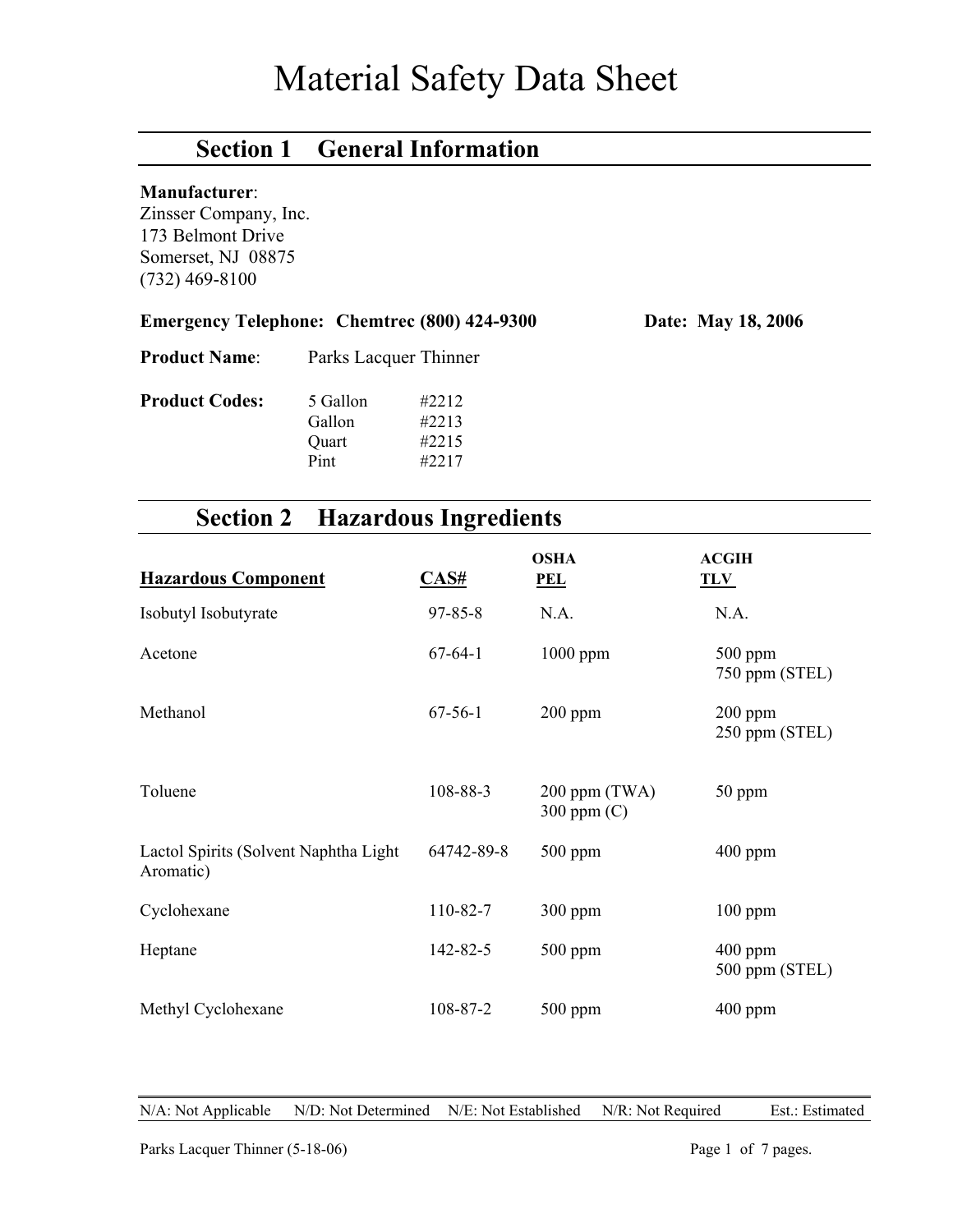# Material Safety Data Sheet

# **Section 1 General Information**

#### **Manufacturer**:

Zinsser Company, Inc. 173 Belmont Drive Somerset, NJ 08875 (732) 469-8100

|  | <b>Emergency Telephone: Chemtrec (800) 424-9300</b> | Date: May 18, 2006 |
|--|-----------------------------------------------------|--------------------|
|--|-----------------------------------------------------|--------------------|

**Product Name**: Parks Lacquer Thinner

|       | #2213  |
|-------|--------|
| Quart | #2215  |
| Pint  | #2217  |
|       | Gallon |

# **Section 2 Hazardous Ingredients**

| <b>Hazardous Component</b>                          | $\overline{\text{CAS}\#}$ | <b>OSHA</b><br><b>PEL</b>        | <b>ACGIH</b><br><b>TLV</b>  |
|-----------------------------------------------------|---------------------------|----------------------------------|-----------------------------|
| Isobutyl Isobutyrate                                | $97 - 85 - 8$             | N.A.                             | N.A.                        |
| Acetone                                             | $67-64-1$                 | $1000$ ppm                       | $500$ ppm<br>750 ppm (STEL) |
| Methanol                                            | $67 - 56 - 1$             | $200$ ppm                        | $200$ ppm<br>250 ppm (STEL) |
| Toluene                                             | 108-88-3                  | $200$ ppm (TWA)<br>300 ppm $(C)$ | 50 ppm                      |
| Lactol Spirits (Solvent Naphtha Light)<br>Aromatic) | 64742-89-8                | $500$ ppm                        | $400$ ppm                   |
| Cyclohexane                                         | 110-82-7                  | 300 ppm                          | $100$ ppm                   |
| Heptane                                             | 142-82-5                  | $500$ ppm                        | $400$ ppm<br>500 ppm (STEL) |
| Methyl Cyclohexane                                  | 108-87-2                  | $500$ ppm                        | $400$ ppm                   |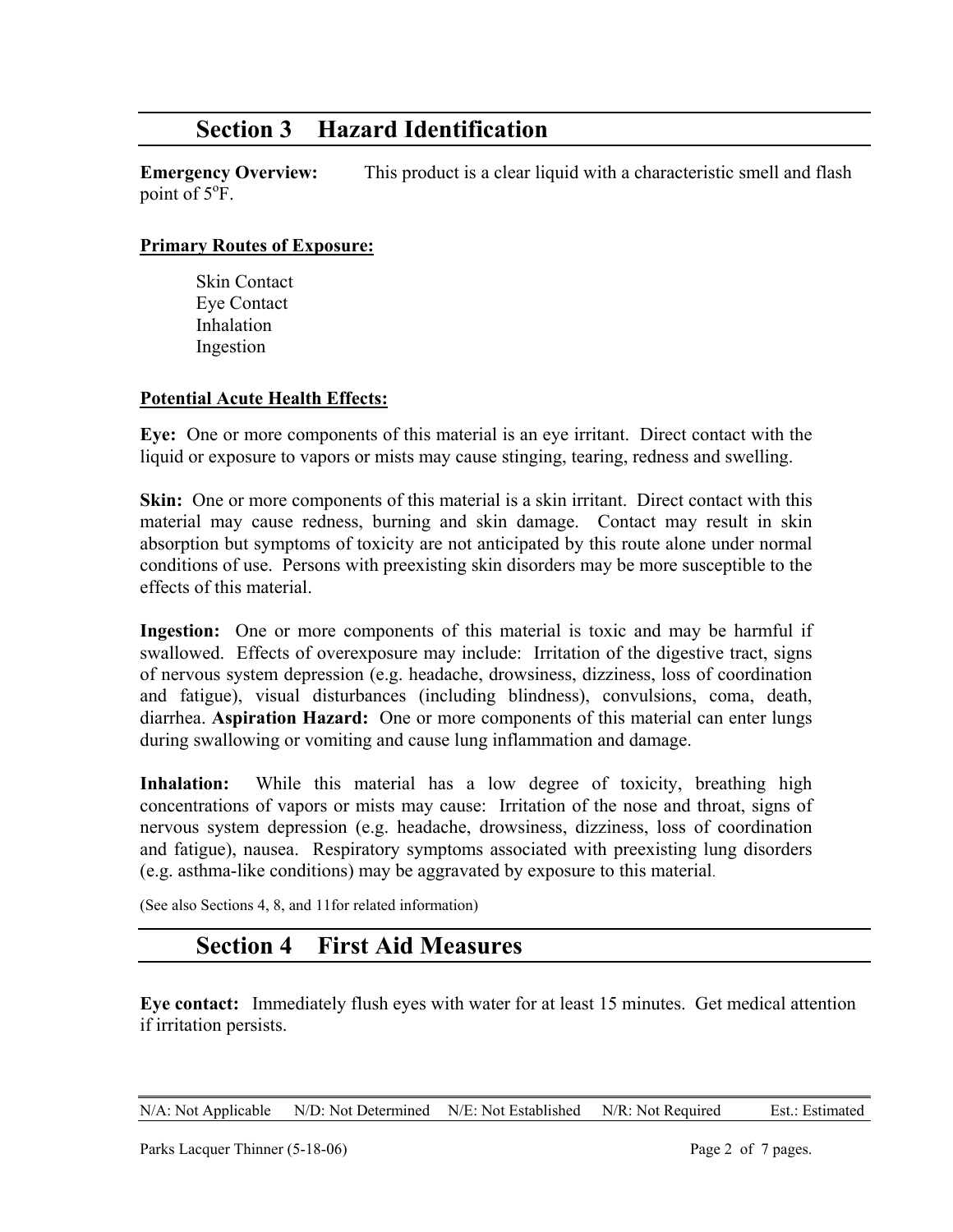## **Section 3 Hazard Identification**

**Emergency Overview:** This product is a clear liquid with a characteristic smell and flash point of  $5^{\circ}$ F.

#### **Primary Routes of Exposure:**

 Skin Contact Eye Contact Inhalation Ingestion

#### **Potential Acute Health Effects:**

**Eye:** One or more components of this material is an eye irritant. Direct contact with the liquid or exposure to vapors or mists may cause stinging, tearing, redness and swelling.

**Skin:** One or more components of this material is a skin irritant. Direct contact with this material may cause redness, burning and skin damage. Contact may result in skin absorption but symptoms of toxicity are not anticipated by this route alone under normal conditions of use. Persons with preexisting skin disorders may be more susceptible to the effects of this material.

**Ingestion:** One or more components of this material is toxic and may be harmful if swallowed. Effects of overexposure may include: Irritation of the digestive tract, signs of nervous system depression (e.g. headache, drowsiness, dizziness, loss of coordination and fatigue), visual disturbances (including blindness), convulsions, coma, death, diarrhea. **Aspiration Hazard:** One or more components of this material can enter lungs during swallowing or vomiting and cause lung inflammation and damage.

Inhalation: While this material has a low degree of toxicity, breathing high concentrations of vapors or mists may cause: Irritation of the nose and throat, signs of nervous system depression (e.g. headache, drowsiness, dizziness, loss of coordination and fatigue), nausea. Respiratory symptoms associated with preexisting lung disorders (e.g. asthma-like conditions) may be aggravated by exposure to this material.

(See also Sections 4, 8, and 11for related information)

### **Section 4 First Aid Measures**

**Eye contact:** Immediately flush eyes with water for at least 15 minutes. Get medical attention if irritation persists.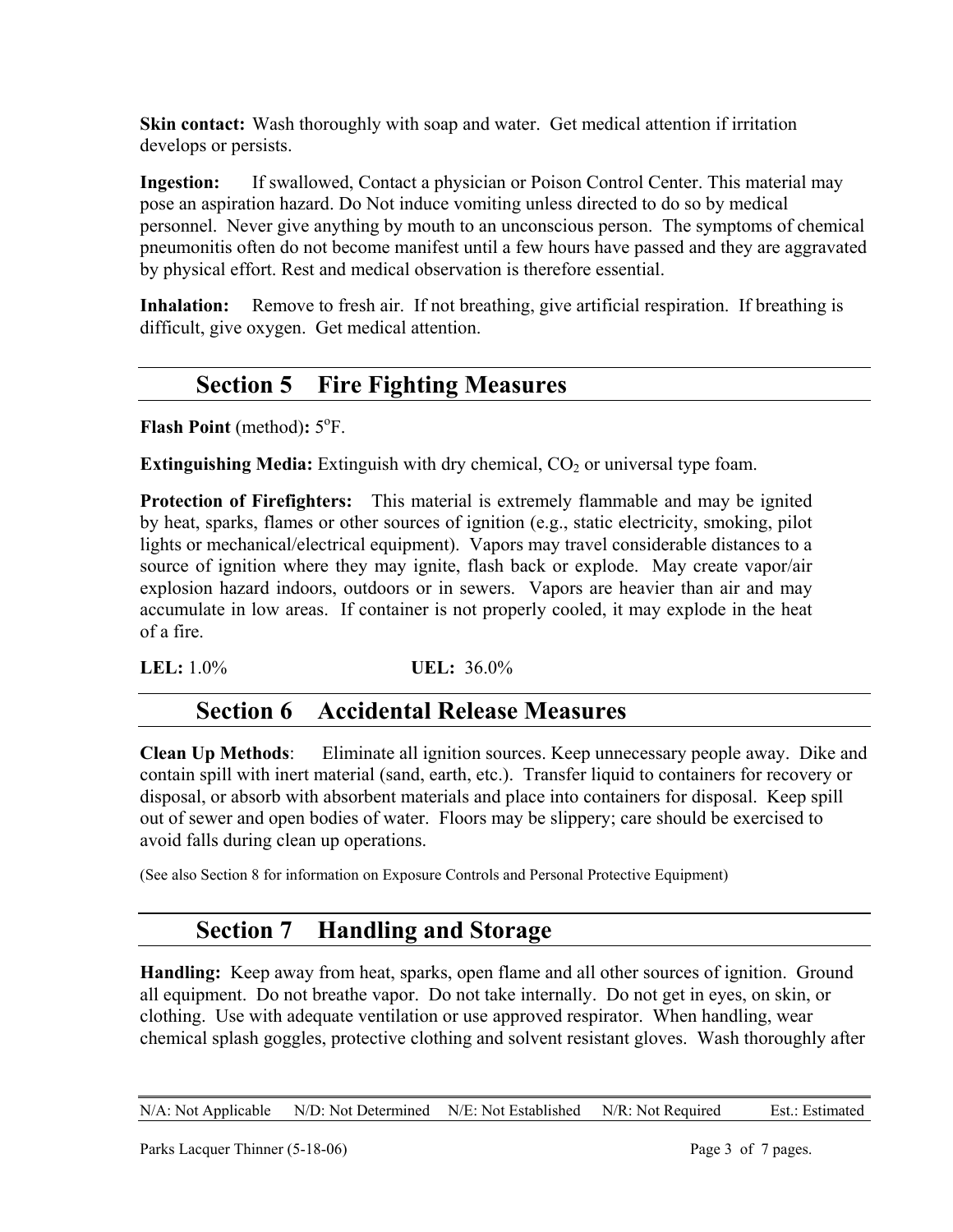**Skin contact:** Wash thoroughly with soap and water. Get medical attention if irritation develops or persists.

**Ingestion:** If swallowed, Contact a physician or Poison Control Center. This material may pose an aspiration hazard. Do Not induce vomiting unless directed to do so by medical personnel. Never give anything by mouth to an unconscious person. The symptoms of chemical pneumonitis often do not become manifest until a few hours have passed and they are aggravated by physical effort. Rest and medical observation is therefore essential.

**Inhalation:** Remove to fresh air. If not breathing, give artificial respiration. If breathing is difficult, give oxygen. Get medical attention.

# **Section 5 Fire Fighting Measures**

**Flash Point** (method):  $5^{\circ}$ F.

**Extinguishing Media:** Extinguish with dry chemical, CO<sub>2</sub> or universal type foam.

**Protection of Firefighters:** This material is extremely flammable and may be ignited by heat, sparks, flames or other sources of ignition (e.g., static electricity, smoking, pilot lights or mechanical/electrical equipment). Vapors may travel considerable distances to a source of ignition where they may ignite, flash back or explode. May create vapor/air explosion hazard indoors, outdoors or in sewers. Vapors are heavier than air and may accumulate in low areas. If container is not properly cooled, it may explode in the heat of a fire.

**LEL:** 1.0% **UEL:** 36.0%

# **Section 6 Accidental Release Measures**

**Clean Up Methods**: Eliminate all ignition sources. Keep unnecessary people away. Dike and contain spill with inert material (sand, earth, etc.). Transfer liquid to containers for recovery or disposal, or absorb with absorbent materials and place into containers for disposal. Keep spill out of sewer and open bodies of water. Floors may be slippery; care should be exercised to avoid falls during clean up operations.

(See also Section 8 for information on Exposure Controls and Personal Protective Equipment)

# **Section 7 Handling and Storage**

**Handling:** Keep away from heat, sparks, open flame and all other sources of ignition. Ground all equipment. Do not breathe vapor. Do not take internally. Do not get in eyes, on skin, or clothing. Use with adequate ventilation or use approved respirator. When handling, wear chemical splash goggles, protective clothing and solvent resistant gloves. Wash thoroughly after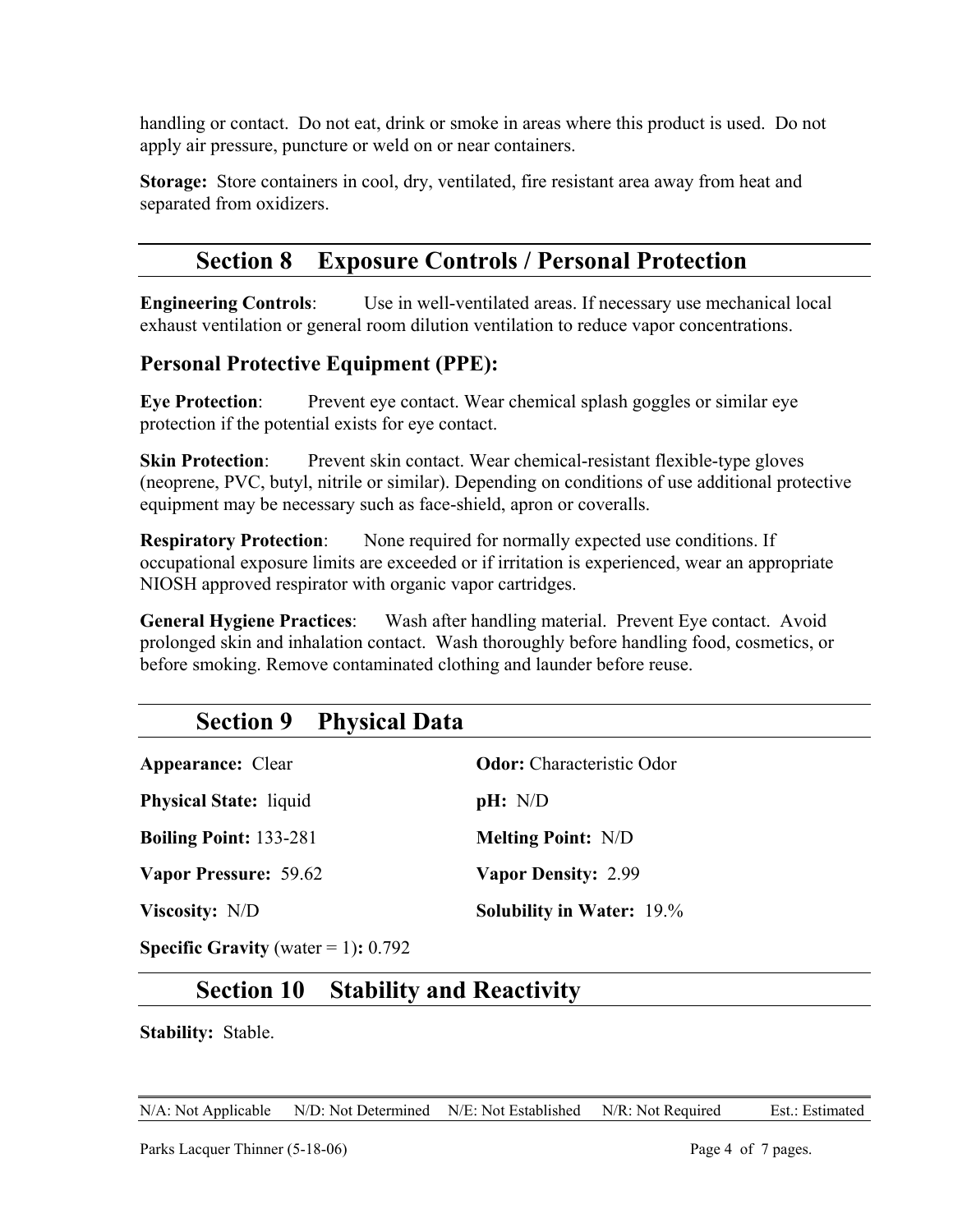handling or contact. Do not eat, drink or smoke in areas where this product is used. Do not apply air pressure, puncture or weld on or near containers.

**Storage:** Store containers in cool, dry, ventilated, fire resistant area away from heat and separated from oxidizers.

# **Section 8 Exposure Controls / Personal Protection**

**Engineering Controls**: Use in well-ventilated areas. If necessary use mechanical local exhaust ventilation or general room dilution ventilation to reduce vapor concentrations.

#### **Personal Protective Equipment (PPE):**

**Eye Protection:** Prevent eye contact. Wear chemical splash goggles or similar eye protection if the potential exists for eye contact.

**Skin Protection:** Prevent skin contact. Wear chemical-resistant flexible-type gloves (neoprene, PVC, butyl, nitrile or similar). Depending on conditions of use additional protective equipment may be necessary such as face-shield, apron or coveralls.

**Respiratory Protection:** None required for normally expected use conditions. If occupational exposure limits are exceeded or if irritation is experienced, wear an appropriate NIOSH approved respirator with organic vapor cartridges.

**General Hygiene Practices**: Wash after handling material. Prevent Eye contact. Avoid prolonged skin and inhalation contact. Wash thoroughly before handling food, cosmetics, or before smoking. Remove contaminated clothing and launder before reuse.

### **Section 9 Physical Data**

| <b>Appearance:</b> Clear |  |
|--------------------------|--|
|--------------------------|--|

**Physical State:** liquid **pH:** N/D

**Boiling Point:** 133-281 **Melting Point:** N/D

**Vapor Pressure:** 59.62 **Vapor Density:** 2.99

**Ador:** Characteristic Odor

**Viscosity:** N/D **Solubility in Water:** 19.%

**Specific Gravity** (water  $= 1$ ): 0.792

# **Section 10 Stability and Reactivity**

**Stability:** Stable.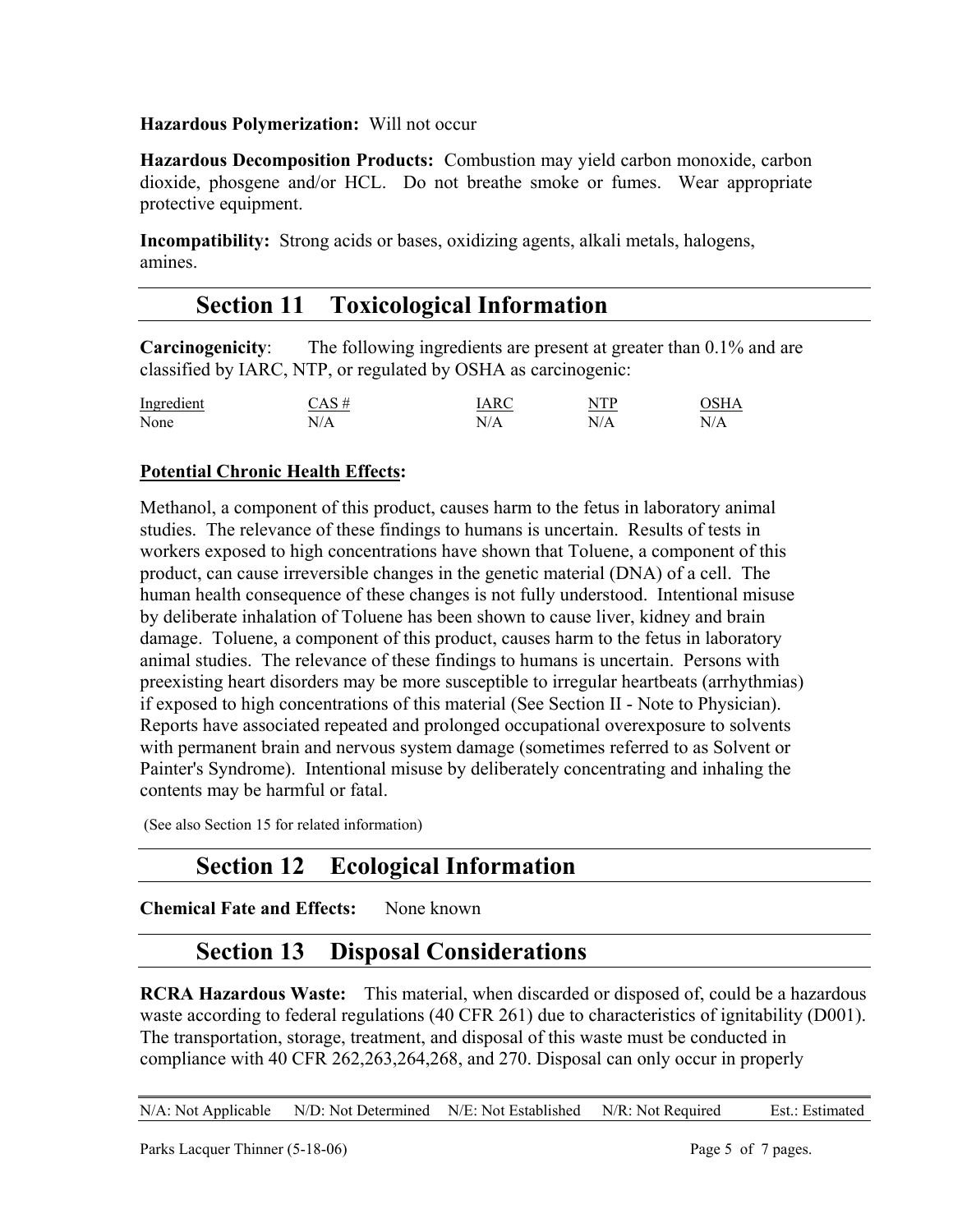#### **Hazardous Polymerization:** Will not occur

**Hazardous Decomposition Products:** Combustion may yield carbon monoxide, carbon dioxide, phosgene and/or HCL. Do not breathe smoke or fumes. Wear appropriate protective equipment.

**Incompatibility:** Strong acids or bases, oxidizing agents, alkali metals, halogens, amines.

### **Section 11 Toxicological Information**

**Carcinogenicity**: The following ingredients are present at greater than 0.1% and are classified by IARC, NTP, or regulated by OSHA as carcinogenic:

| Ingredient | $CAS \#$ | IARC | NTP | OSHA |
|------------|----------|------|-----|------|
| None       | N/A      | N/A  | N/A | N/A  |

#### **Potential Chronic Health Effects:**

Methanol, a component of this product, causes harm to the fetus in laboratory animal studies. The relevance of these findings to humans is uncertain. Results of tests in workers exposed to high concentrations have shown that Toluene, a component of this product, can cause irreversible changes in the genetic material (DNA) of a cell. The human health consequence of these changes is not fully understood. Intentional misuse by deliberate inhalation of Toluene has been shown to cause liver, kidney and brain damage. Toluene, a component of this product, causes harm to the fetus in laboratory animal studies. The relevance of these findings to humans is uncertain. Persons with preexisting heart disorders may be more susceptible to irregular heartbeats (arrhythmias) if exposed to high concentrations of this material (See Section II - Note to Physician). Reports have associated repeated and prolonged occupational overexposure to solvents with permanent brain and nervous system damage (sometimes referred to as Solvent or Painter's Syndrome). Intentional misuse by deliberately concentrating and inhaling the contents may be harmful or fatal.

(See also Section 15 for related information)

### **Section 12 Ecological Information**

**Chemical Fate and Effects:** None known

### **Section 13 Disposal Considerations**

**RCRA Hazardous Waste:** This material, when discarded or disposed of, could be a hazardous waste according to federal regulations (40 CFR 261) due to characteristics of ignitability (D001). The transportation, storage, treatment, and disposal of this waste must be conducted in compliance with 40 CFR 262,263,264,268, and 270. Disposal can only occur in properly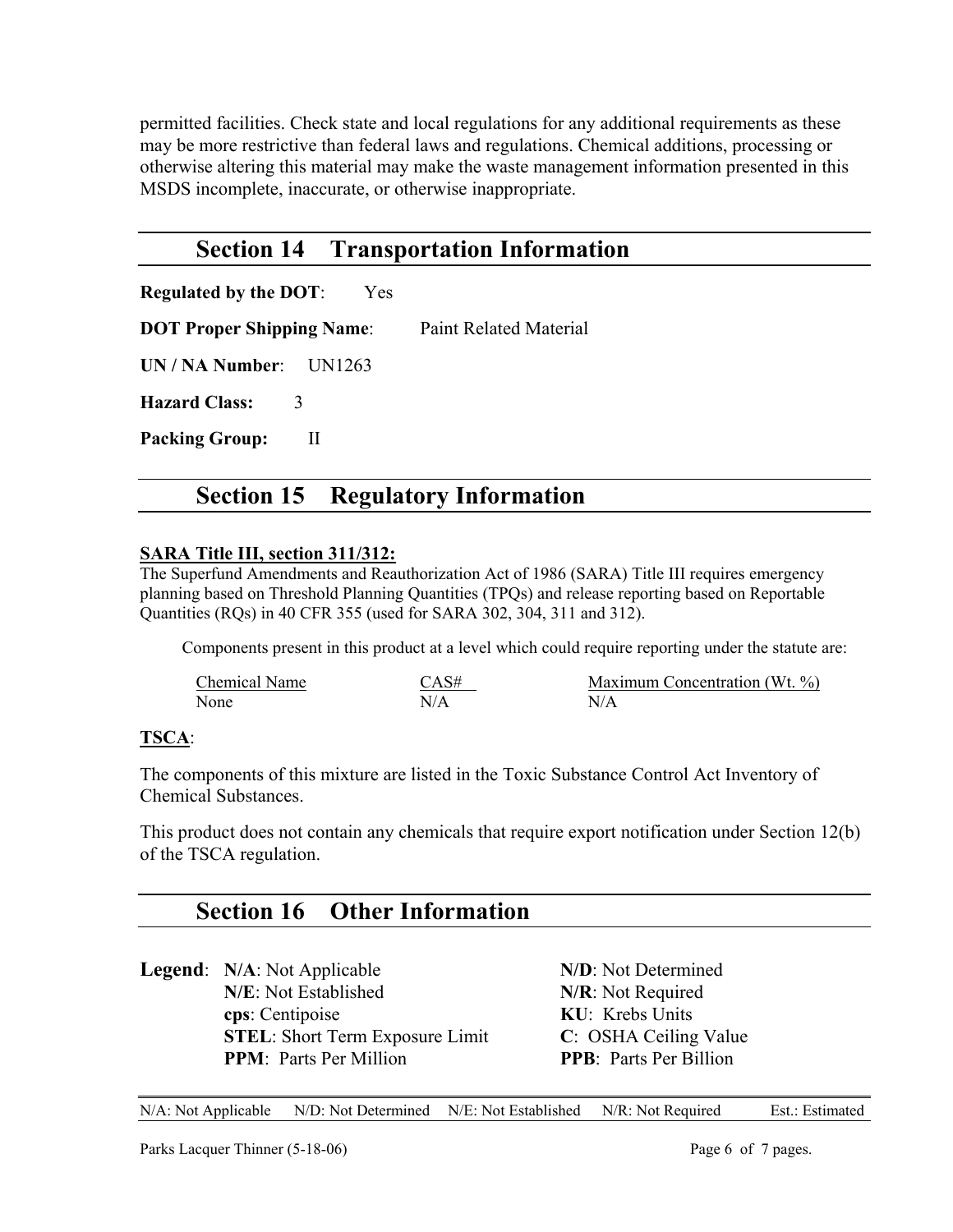permitted facilities. Check state and local regulations for any additional requirements as these may be more restrictive than federal laws and regulations. Chemical additions, processing or otherwise altering this material may make the waste management information presented in this MSDS incomplete, inaccurate, or otherwise inappropriate.

#### **Section 14 Transportation Information**

**Regulated by the DOT**: Yes

**DOT Proper Shipping Name:** Paint Related Material

**UN / NA Number**: UN1263

**Hazard Class:** 3

Packing Group: II

### **Section 15 Regulatory Information**

#### **SARA Title III, section 311/312:**

The Superfund Amendments and Reauthorization Act of 1986 (SARA) Title III requires emergency planning based on Threshold Planning Quantities (TPQs) and release reporting based on Reportable Quantities (RQs) in 40 CFR 355 (used for SARA 302, 304, 311 and 312).

Components present in this product at a level which could require reporting under the statute are:

| Chemical Name | CAS# | Maximum Concentration (Wt. %) |
|---------------|------|-------------------------------|
| None          | N/A  | N/A                           |

#### **TSCA**:

The components of this mixture are listed in the Toxic Substance Control Act Inventory of Chemical Substances.

This product does not contain any chemicals that require export notification under Section 12(b) of the TSCA regulation.

### **Section 16 Other Information**

**Legend**: **N/A**: Not Applicable **N/D**: Not Determined **N/E**: Not Established **N/R**: Not Required **cps**: Centipoise **KU**: Krebs Units **STEL**: Short Term Exposure Limit **C**: OSHA Ceiling Value **PPM**: Parts Per Million **PPB**: Parts Per Billion